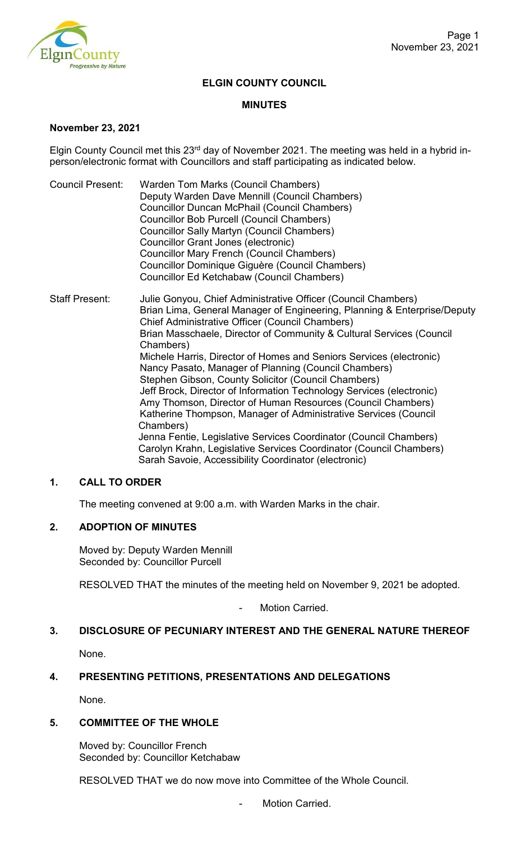

## **ELGIN COUNTY COUNCIL**

#### **MINUTES**

#### **November 23, 2021**

Elgin County Council met this 23<sup>rd</sup> day of November 2021. The meeting was held in a hybrid inperson/electronic format with Councillors and staff participating as indicated below.

- Council Present: Warden Tom Marks (Council Chambers) Deputy Warden Dave Mennill (Council Chambers) Councillor Duncan McPhail (Council Chambers) Councillor Bob Purcell (Council Chambers) Councillor Sally Martyn (Council Chambers) Councillor Grant Jones (electronic) Councillor Mary French (Council Chambers) Councillor Dominique Giguère (Council Chambers) Councillor Ed Ketchabaw (Council Chambers)
- Staff Present: Julie Gonyou, Chief Administrative Officer (Council Chambers) Brian Lima, General Manager of Engineering, Planning & Enterprise/Deputy Chief Administrative Officer (Council Chambers) Brian Masschaele, Director of Community & Cultural Services (Council Chambers) Michele Harris, Director of Homes and Seniors Services (electronic) Nancy Pasato, Manager of Planning (Council Chambers) Stephen Gibson, County Solicitor (Council Chambers) Jeff Brock, Director of Information Technology Services (electronic) Amy Thomson, Director of Human Resources (Council Chambers) Katherine Thompson, Manager of Administrative Services (Council Chambers) Jenna Fentie, Legislative Services Coordinator (Council Chambers) Carolyn Krahn, Legislative Services Coordinator (Council Chambers) Sarah Savoie, Accessibility Coordinator (electronic)

### **1. CALL TO ORDER**

The meeting convened at 9:00 a.m. with Warden Marks in the chair.

## **2. ADOPTION OF MINUTES**

Moved by: Deputy Warden Mennill Seconded by: Councillor Purcell

RESOLVED THAT the minutes of the meeting held on November 9, 2021 be adopted.

Motion Carried.

#### **3. DISCLOSURE OF PECUNIARY INTEREST AND THE GENERAL NATURE THEREOF**

None.

## **4. PRESENTING PETITIONS, PRESENTATIONS AND DELEGATIONS**

None.

#### **5. COMMITTEE OF THE WHOLE**

Moved by: Councillor French Seconded by: Councillor Ketchabaw

RESOLVED THAT we do now move into Committee of the Whole Council.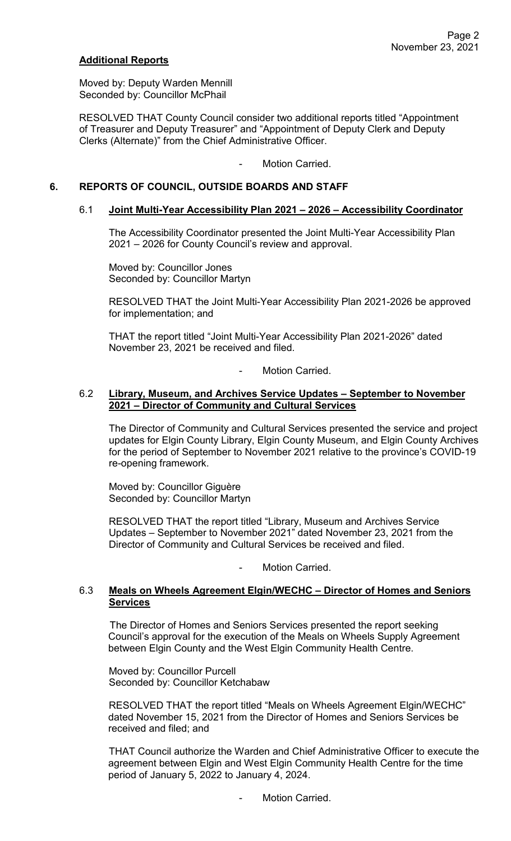## **Additional Reports**

Moved by: Deputy Warden Mennill Seconded by: Councillor McPhail

RESOLVED THAT County Council consider two additional reports titled "Appointment of Treasurer and Deputy Treasurer" and "Appointment of Deputy Clerk and Deputy Clerks (Alternate)" from the Chief Administrative Officer.

- Motion Carried.

## **6. REPORTS OF COUNCIL, OUTSIDE BOARDS AND STAFF**

#### 6.1 **Joint Multi-Year Accessibility Plan 2021 – 2026 – Accessibility Coordinator**

The Accessibility Coordinator presented the Joint Multi-Year Accessibility Plan 2021 – 2026 for County Council's review and approval.

Moved by: Councillor Jones Seconded by: Councillor Martyn

RESOLVED THAT the Joint Multi-Year Accessibility Plan 2021-2026 be approved for implementation; and

THAT the report titled "Joint Multi-Year Accessibility Plan 2021-2026" dated November 23, 2021 be received and filed.

Motion Carried.

### 6.2 **Library, Museum, and Archives Service Updates – September to November 2021 – Director of Community and Cultural Services**

The Director of Community and Cultural Services presented the service and project updates for Elgin County Library, Elgin County Museum, and Elgin County Archives for the period of September to November 2021 relative to the province's COVID-19 re-opening framework.

Moved by: Councillor Giguère Seconded by: Councillor Martyn

RESOLVED THAT the report titled "Library, Museum and Archives Service Updates – September to November 2021" dated November 23, 2021 from the Director of Community and Cultural Services be received and filed.

Motion Carried

## 6.3 **Meals on Wheels Agreement Elgin/WECHC – Director of Homes and Seniors Services**

The Director of Homes and Seniors Services presented the report seeking Council's approval for the execution of the Meals on Wheels Supply Agreement between Elgin County and the West Elgin Community Health Centre.

Moved by: Councillor Purcell Seconded by: Councillor Ketchabaw

RESOLVED THAT the report titled "Meals on Wheels Agreement Elgin/WECHC" dated November 15, 2021 from the Director of Homes and Seniors Services be received and filed; and

THAT Council authorize the Warden and Chief Administrative Officer to execute the agreement between Elgin and West Elgin Community Health Centre for the time period of January 5, 2022 to January 4, 2024.

Motion Carried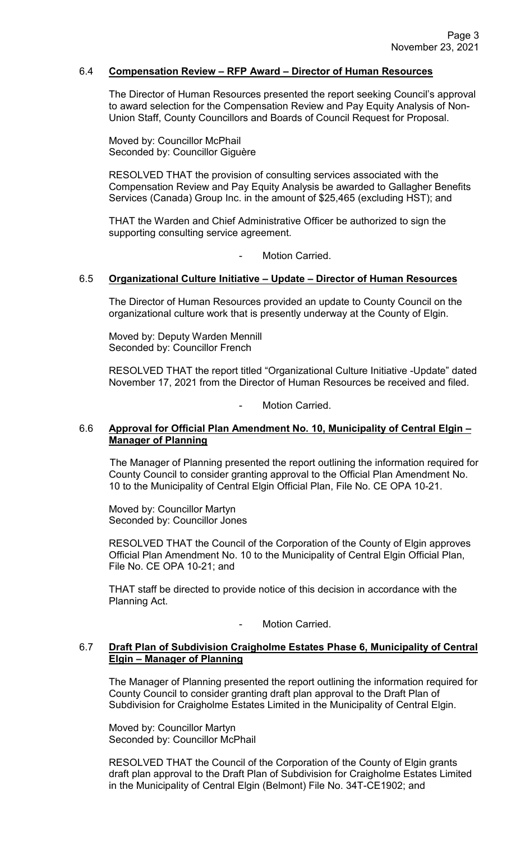### 6.4 **Compensation Review – RFP Award – Director of Human Resources**

The Director of Human Resources presented the report seeking Council's approval to award selection for the Compensation Review and Pay Equity Analysis of Non-Union Staff, County Councillors and Boards of Council Request for Proposal.

Moved by: Councillor McPhail Seconded by: Councillor Giguère

RESOLVED THAT the provision of consulting services associated with the Compensation Review and Pay Equity Analysis be awarded to Gallagher Benefits Services (Canada) Group Inc. in the amount of \$25,465 (excluding HST); and

THAT the Warden and Chief Administrative Officer be authorized to sign the supporting consulting service agreement.

Motion Carried.

### 6.5 **Organizational Culture Initiative – Update – Director of Human Resources**

The Director of Human Resources provided an update to County Council on the organizational culture work that is presently underway at the County of Elgin.

Moved by: Deputy Warden Mennill Seconded by: Councillor French

RESOLVED THAT the report titled "Organizational Culture Initiative -Update" dated November 17, 2021 from the Director of Human Resources be received and filed.

Motion Carried.

## 6.6 **Approval for Official Plan Amendment No. 10, Municipality of Central Elgin – Manager of Planning**

The Manager of Planning presented the report outlining the information required for County Council to consider granting approval to the Official Plan Amendment No. 10 to the Municipality of Central Elgin Official Plan, File No. CE OPA 10-21.

Moved by: Councillor Martyn Seconded by: Councillor Jones

RESOLVED THAT the Council of the Corporation of the County of Elgin approves Official Plan Amendment No. 10 to the Municipality of Central Elgin Official Plan, File No. CE OPA 10-21; and

THAT staff be directed to provide notice of this decision in accordance with the Planning Act.

#### Motion Carried.

## 6.7 **Draft Plan of Subdivision Craigholme Estates Phase 6, Municipality of Central Elgin – Manager of Planning**

The Manager of Planning presented the report outlining the information required for County Council to consider granting draft plan approval to the Draft Plan of Subdivision for Craigholme Estates Limited in the Municipality of Central Elgin.

Moved by: Councillor Martyn Seconded by: Councillor McPhail

RESOLVED THAT the Council of the Corporation of the County of Elgin grants draft plan approval to the Draft Plan of Subdivision for Craigholme Estates Limited in the Municipality of Central Elgin (Belmont) File No. 34T-CE1902; and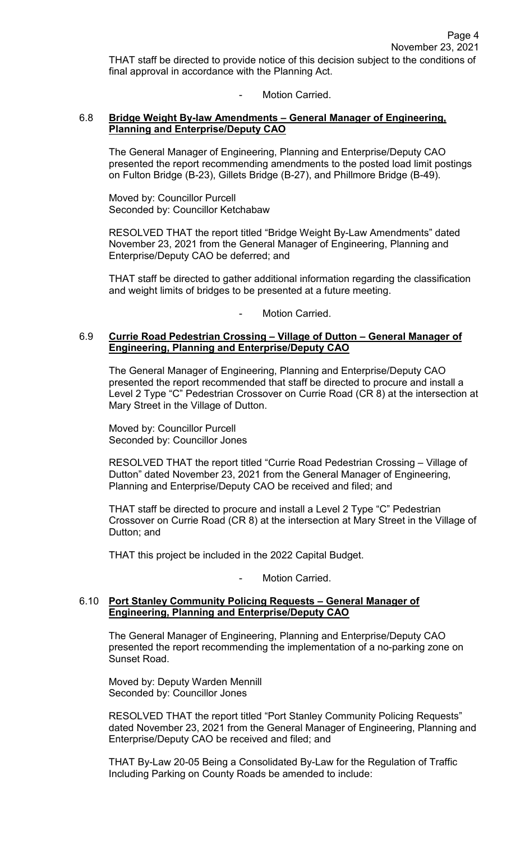THAT staff be directed to provide notice of this decision subject to the conditions of final approval in accordance with the Planning Act.

## Motion Carried.

## 6.8 **Bridge Weight By-law Amendments – General Manager of Engineering, Planning and Enterprise/Deputy CAO**

The General Manager of Engineering, Planning and Enterprise/Deputy CAO presented the report recommending amendments to the posted load limit postings on Fulton Bridge (B-23), Gillets Bridge (B-27), and Phillmore Bridge (B-49).

Moved by: Councillor Purcell Seconded by: Councillor Ketchabaw

RESOLVED THAT the report titled "Bridge Weight By-Law Amendments" dated November 23, 2021 from the General Manager of Engineering, Planning and Enterprise/Deputy CAO be deferred; and

THAT staff be directed to gather additional information regarding the classification and weight limits of bridges to be presented at a future meeting.

Motion Carried.

### 6.9 **Currie Road Pedestrian Crossing – Village of Dutton – General Manager of Engineering, Planning and Enterprise/Deputy CAO**

The General Manager of Engineering, Planning and Enterprise/Deputy CAO presented the report recommended that staff be directed to procure and install a Level 2 Type "C" Pedestrian Crossover on Currie Road (CR 8) at the intersection at Mary Street in the Village of Dutton.

Moved by: Councillor Purcell Seconded by: Councillor Jones

RESOLVED THAT the report titled "Currie Road Pedestrian Crossing – Village of Dutton" dated November 23, 2021 from the General Manager of Engineering, Planning and Enterprise/Deputy CAO be received and filed; and

 THAT staff be directed to procure and install a Level 2 Type "C" Pedestrian Crossover on Currie Road (CR 8) at the intersection at Mary Street in the Village of Dutton; and

THAT this project be included in the 2022 Capital Budget.

Motion Carried.

## 6.10 **Port Stanley Community Policing Requests – General Manager of Engineering, Planning and Enterprise/Deputy CAO**

The General Manager of Engineering, Planning and Enterprise/Deputy CAO presented the report recommending the implementation of a no-parking zone on Sunset Road.

Moved by: Deputy Warden Mennill Seconded by: Councillor Jones

RESOLVED THAT the report titled "Port Stanley Community Policing Requests" dated November 23, 2021 from the General Manager of Engineering, Planning and Enterprise/Deputy CAO be received and filed; and

THAT By-Law 20-05 Being a Consolidated By-Law for the Regulation of Traffic Including Parking on County Roads be amended to include: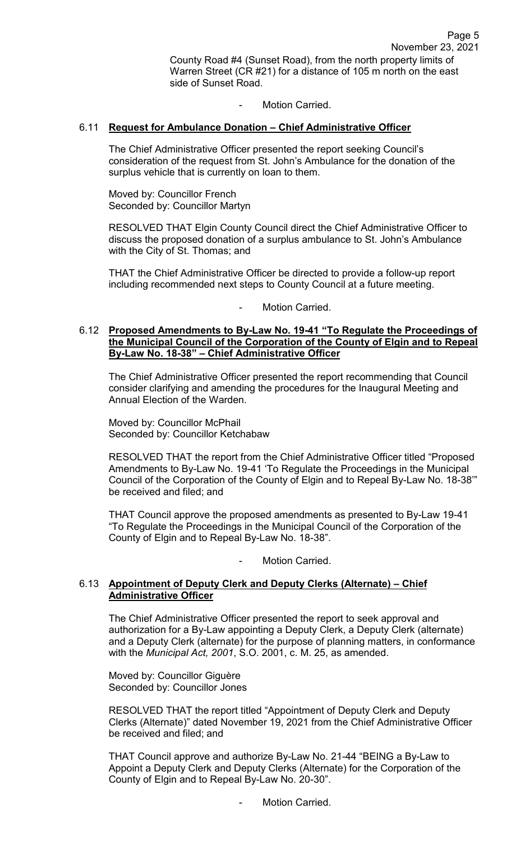Motion Carried.

## 6.11 **Request for Ambulance Donation – Chief Administrative Officer**

The Chief Administrative Officer presented the report seeking Council's consideration of the request from St. John's Ambulance for the donation of the surplus vehicle that is currently on loan to them.

Moved by: Councillor French Seconded by: Councillor Martyn

RESOLVED THAT Elgin County Council direct the Chief Administrative Officer to discuss the proposed donation of a surplus ambulance to St. John's Ambulance with the City of St. Thomas; and

THAT the Chief Administrative Officer be directed to provide a follow-up report including recommended next steps to County Council at a future meeting.

Motion Carried.

#### 6.12 **Proposed Amendments to By-Law No. 19-41 "To Regulate the Proceedings of the Municipal Council of the Corporation of the County of Elgin and to Repeal By-Law No. 18-38" – Chief Administrative Officer**

The Chief Administrative Officer presented the report recommending that Council consider clarifying and amending the procedures for the Inaugural Meeting and Annual Election of the Warden.

Moved by: Councillor McPhail Seconded by: Councillor Ketchabaw

RESOLVED THAT the report from the Chief Administrative Officer titled "Proposed Amendments to By-Law No. 19-41 'To Regulate the Proceedings in the Municipal Council of the Corporation of the County of Elgin and to Repeal By-Law No. 18-38'" be received and filed; and

THAT Council approve the proposed amendments as presented to By-Law 19-41 "To Regulate the Proceedings in the Municipal Council of the Corporation of the County of Elgin and to Repeal By-Law No. 18-38".

#### Motion Carried.

## 6.13 **Appointment of Deputy Clerk and Deputy Clerks (Alternate) – Chief Administrative Officer**

The Chief Administrative Officer presented the report to seek approval and authorization for a By-Law appointing a Deputy Clerk, a Deputy Clerk (alternate) and a Deputy Clerk (alternate) for the purpose of planning matters, in conformance with the *Municipal Act, 2001*, S.O. 2001, c. M. 25, as amended.

Moved by: Councillor Giguère Seconded by: Councillor Jones

RESOLVED THAT the report titled "Appointment of Deputy Clerk and Deputy Clerks (Alternate)" dated November 19, 2021 from the Chief Administrative Officer be received and filed; and

THAT Council approve and authorize By-Law No. 21-44 "BEING a By-Law to Appoint a Deputy Clerk and Deputy Clerks (Alternate) for the Corporation of the County of Elgin and to Repeal By-Law No. 20-30".

Motion Carried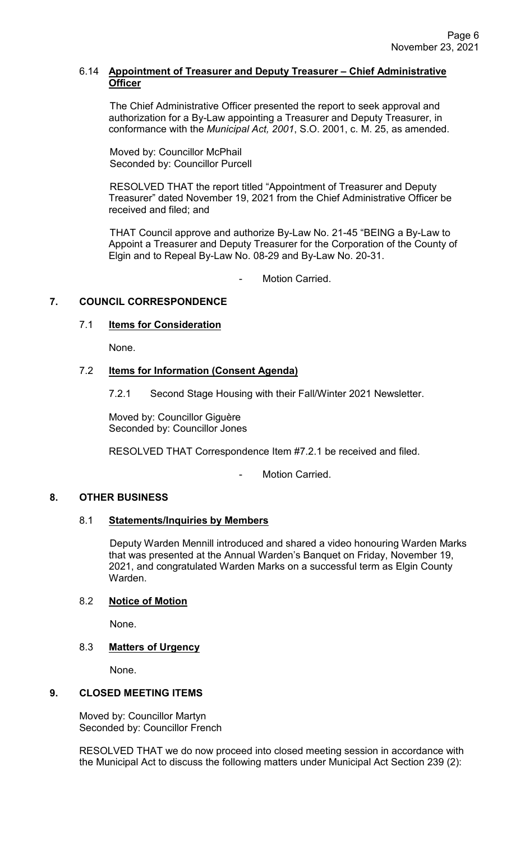### 6.14 **Appointment of Treasurer and Deputy Treasurer – Chief Administrative Officer**

The Chief Administrative Officer presented the report to seek approval and authorization for a By-Law appointing a Treasurer and Deputy Treasurer, in conformance with the *Municipal Act, 2001*, S.O. 2001, c. M. 25, as amended.

Moved by: Councillor McPhail Seconded by: Councillor Purcell

RESOLVED THAT the report titled "Appointment of Treasurer and Deputy Treasurer" dated November 19, 2021 from the Chief Administrative Officer be received and filed; and

THAT Council approve and authorize By-Law No. 21-45 "BEING a By-Law to Appoint a Treasurer and Deputy Treasurer for the Corporation of the County of Elgin and to Repeal By-Law No. 08-29 and By-Law No. 20-31.

Motion Carried.

# **7. COUNCIL CORRESPONDENCE**

## 7.1 **Items for Consideration**

None.

# 7.2 **Items for Information (Consent Agenda)**

7.2.1 Second Stage Housing with their Fall/Winter 2021 Newsletter.

Moved by: Councillor Giguère Seconded by: Councillor Jones

RESOLVED THAT Correspondence Item #7.2.1 be received and filed.

Motion Carried.

## **8. OTHER BUSINESS**

## 8.1 **Statements/Inquiries by Members**

Deputy Warden Mennill introduced and shared a video honouring Warden Marks that was presented at the Annual Warden's Banquet on Friday, November 19, 2021, and congratulated Warden Marks on a successful term as Elgin County Warden.

## 8.2 **Notice of Motion**

None.

## 8.3 **Matters of Urgency**

None.

## **9. CLOSED MEETING ITEMS**

Moved by: Councillor Martyn Seconded by: Councillor French

RESOLVED THAT we do now proceed into closed meeting session in accordance with the Municipal Act to discuss the following matters under Municipal Act Section 239 (2):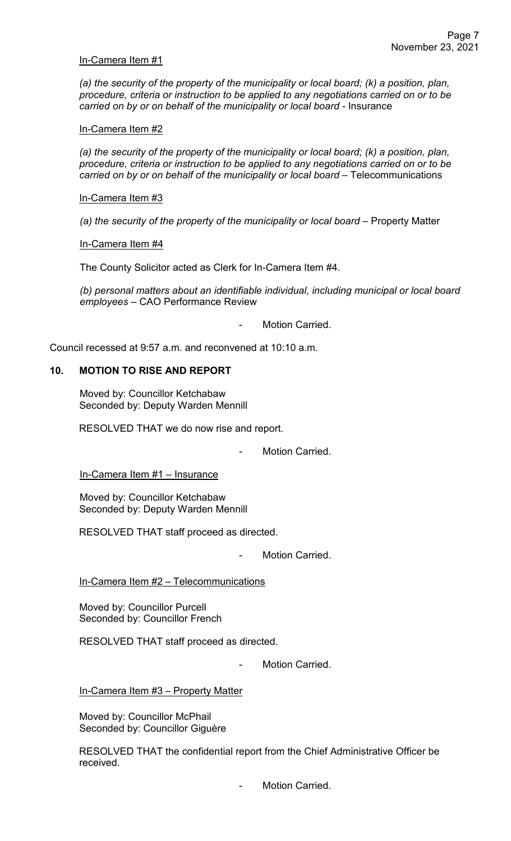#### In-Camera Item #1

*(a) the security of the property of the municipality or local board; (k) a position, plan, procedure, criteria or instruction to be applied to any negotiations carried on or to be carried on by or on behalf of the municipality or local board* - Insurance

In-Camera Item #2

*(a) the security of the property of the municipality or local board; (k) a position, plan, procedure, criteria or instruction to be applied to any negotiations carried on or to be carried on by or on behalf of the municipality or local board* – Telecommunications

In-Camera Item #3

*(a) the security of the property of the municipality or local board* – Property Matter

In-Camera Item #4

The County Solicitor acted as Clerk for In-Camera Item #4.

*(b) personal matters about an identifiable individual, including municipal or local board employees* – CAO Performance Review

Motion Carried.

Council recessed at 9:57 a.m. and reconvened at 10:10 a.m.

## **10. MOTION TO RISE AND REPORT**

Moved by: Councillor Ketchabaw Seconded by: Deputy Warden Mennill

RESOLVED THAT we do now rise and report.

Motion Carried.

In-Camera Item #1 – Insurance

Moved by: Councillor Ketchabaw Seconded by: Deputy Warden Mennill

RESOLVED THAT staff proceed as directed.

Motion Carried.

In-Camera Item #2 – Telecommunications

Moved by: Councillor Purcell Seconded by: Councillor French

RESOLVED THAT staff proceed as directed.

Motion Carried.

In-Camera Item #3 – Property Matter

Moved by: Councillor McPhail Seconded by: Councillor Giguère

RESOLVED THAT the confidential report from the Chief Administrative Officer be received.

Motion Carried.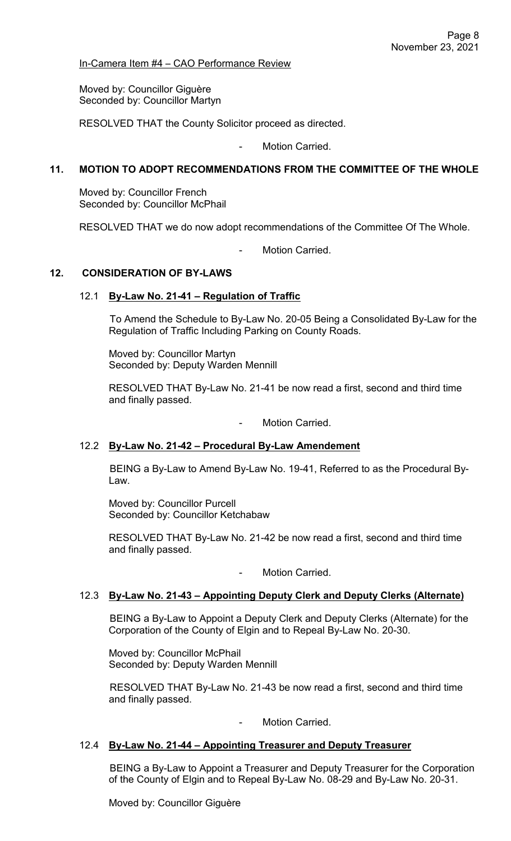In-Camera Item #4 – CAO Performance Review

Moved by: Councillor Giguère Seconded by: Councillor Martyn

RESOLVED THAT the County Solicitor proceed as directed.

Motion Carried.

# **11. MOTION TO ADOPT RECOMMENDATIONS FROM THE COMMITTEE OF THE WHOLE**

Moved by: Councillor French Seconded by: Councillor McPhail

RESOLVED THAT we do now adopt recommendations of the Committee Of The Whole.

Motion Carried.

#### **12. CONSIDERATION OF BY-LAWS**

#### 12.1 **By-Law No. 21-41 – Regulation of Traffic**

To Amend the Schedule to By-Law No. 20-05 Being a Consolidated By-Law for the Regulation of Traffic Including Parking on County Roads.

Moved by: Councillor Martyn Seconded by: Deputy Warden Mennill

RESOLVED THAT By-Law No. 21-41 be now read a first, second and third time and finally passed.

- Motion Carried.

#### 12.2 **By-Law No. 21-42 – Procedural By-Law Amendement**

BEING a By-Law to Amend By-Law No. 19-41, Referred to as the Procedural By-Law.

Moved by: Councillor Purcell Seconded by: Councillor Ketchabaw

RESOLVED THAT By-Law No. 21-42 be now read a first, second and third time and finally passed.

Motion Carried.

#### 12.3 **By-Law No. 21-43 – Appointing Deputy Clerk and Deputy Clerks (Alternate)**

BEING a By-Law to Appoint a Deputy Clerk and Deputy Clerks (Alternate) for the Corporation of the County of Elgin and to Repeal By-Law No. 20-30.

Moved by: Councillor McPhail Seconded by: Deputy Warden Mennill

RESOLVED THAT By-Law No. 21-43 be now read a first, second and third time and finally passed.

Motion Carried.

#### 12.4 **By-Law No. 21-44 – Appointing Treasurer and Deputy Treasurer**

BEING a By-Law to Appoint a Treasurer and Deputy Treasurer for the Corporation of the County of Elgin and to Repeal By-Law No. 08-29 and By-Law No. 20-31.

Moved by: Councillor Giguère